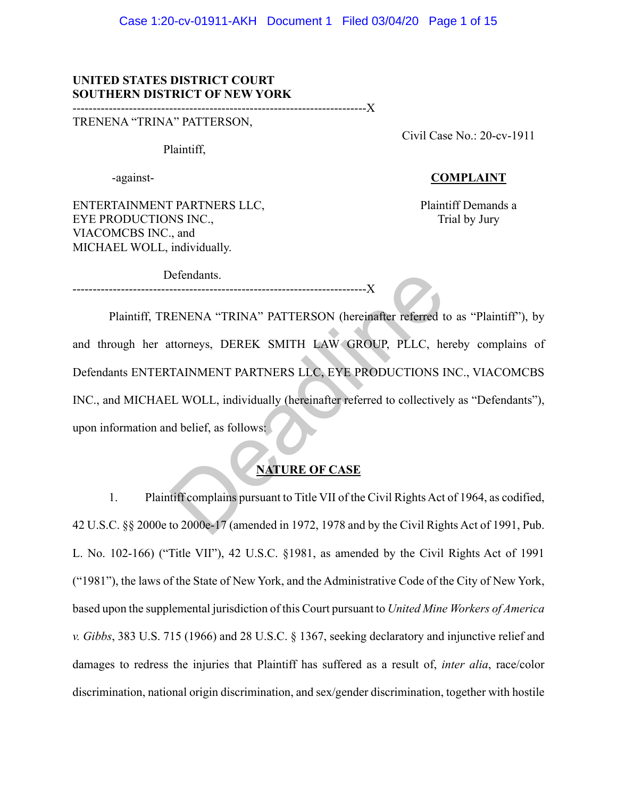### **UNITED STATES DISTRICT COURT SOUTHERN DISTRICT OF NEW YORK**

-------------------------------------------------------------------------X

TRENENA "TRINA" PATTERSON,

Plaintiff,

-against-

Civil Case No.: 20-cv-1911

### **COMPLAINT**

ENTERTAINMENT PARTNERS LLC, EYE PRODUCTIONS INC., VIACOMCBS INC., and MICHAEL WOLL, individually.

Defendants.

Plaintiff Demands a Trial by Jury

Plaintiff, TRENENA "TRINA" PATTERSON (hereinafter referred to as "Plaintiff"), by and through her attorneys, DEREK SMITH LAW GROUP, PLLC, hereby complains of Defendants ENTERTAINMENT PARTNERS LLC, EYE PRODUCTIONS INC., VIACOMCBS INC., and MICHAEL WOLL, individually (hereinafter referred to collectively as "Defendants"), upon information and belief, as follows: Defendants.<br>
ENENA "TRINA" PATTERSON (hereinafter referred to<br>
ttorneys, DEREK SMITH LAW GROUP, PLLC, he<br>
TAINMENT PARTNERS LLC, EYE PRODUCTIONS I<br>
LL WOLL, individually (hereinafter referred to collective)<br>
delief, as fol

---------------- $\rm X$ 

# **NATURE OF CASE**

1. Plaintiff complains pursuant to Title VII of the Civil Rights Act of 1964, as codified, 42 U.S.C. §§ 2000e to 2000e-17 (amended in 1972, 1978 and by the Civil Rights Act of 1991, Pub. L. No. 102-166) ("Title VII"), 42 U.S.C. §1981, as amended by the Civil Rights Act of 1991 ("1981"), the laws of the State of New York, and the Administrative Code of the City of New York, based upon the supplemental jurisdiction of this Court pursuant to *United Mine Workers of America v. Gibbs*, 383 U.S. 715 (1966) and 28 U.S.C. § 1367, seeking declaratory and injunctive relief and damages to redress the injuries that Plaintiff has suffered as a result of, *inter alia*, race/color discrimination, national origin discrimination, and sex/gender discrimination, together with hostile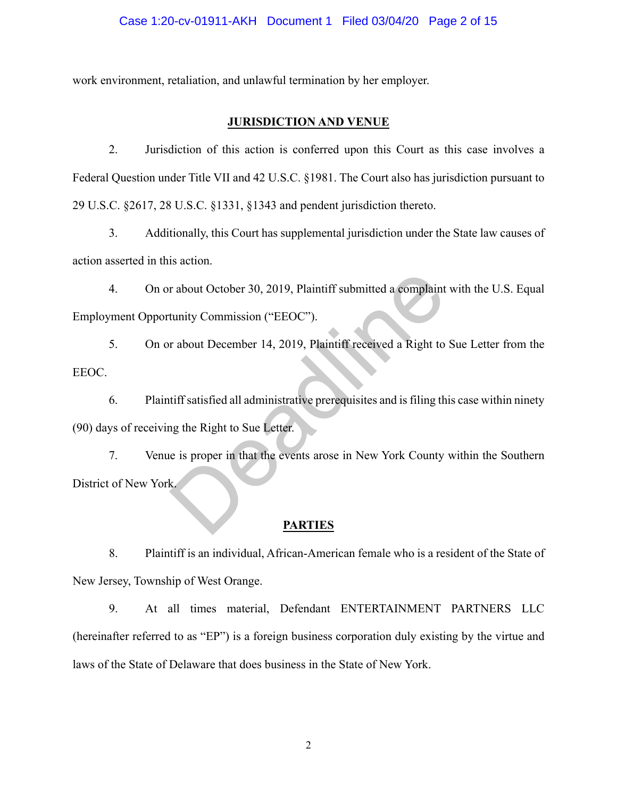work environment, retaliation, and unlawful termination by her employer.

## **JURISDICTION AND VENUE**

2. Jurisdiction of this action is conferred upon this Court as this case involves a Federal Question under Title VII and 42 U.S.C. §1981. The Court also has jurisdiction pursuant to 29 U.S.C. §2617, 28 U.S.C. §1331, §1343 and pendent jurisdiction thereto.

3. Additionally, this Court has supplemental jurisdiction under the State law causes of action asserted in this action.

4. On or about October 30, 2019, Plaintiff submitted a complaint with the U.S. Equal Employment Opportunity Commission ("EEOC").

5. On or about December 14, 2019, Plaintiff received a Right to Sue Letter from the EEOC.

6. Plaintiff satisfied all administrative prerequisites and is filing this case within ninety (90) days of receiving the Right to Sue Letter.

7. Venue is proper in that the events arose in New York County within the Southern District of New York. r about October 30, 2019, Plaintiff submitted a complaint<br>tunity Commission ("EEOC").<br>T about December 14, 2019, Plaintiff received a Right to<br>tiff satisfied all administrative prerequisites and is filing th<br>ng the Right t

### **PARTIES**

8. Plaintiff is an individual, African-American female who is a resident of the State of New Jersey, Township of West Orange.

9. At all times material, Defendant ENTERTAINMENT PARTNERS LLC (hereinafter referred to as "EP") is a foreign business corporation duly existing by the virtue and laws of the State of Delaware that does business in the State of New York.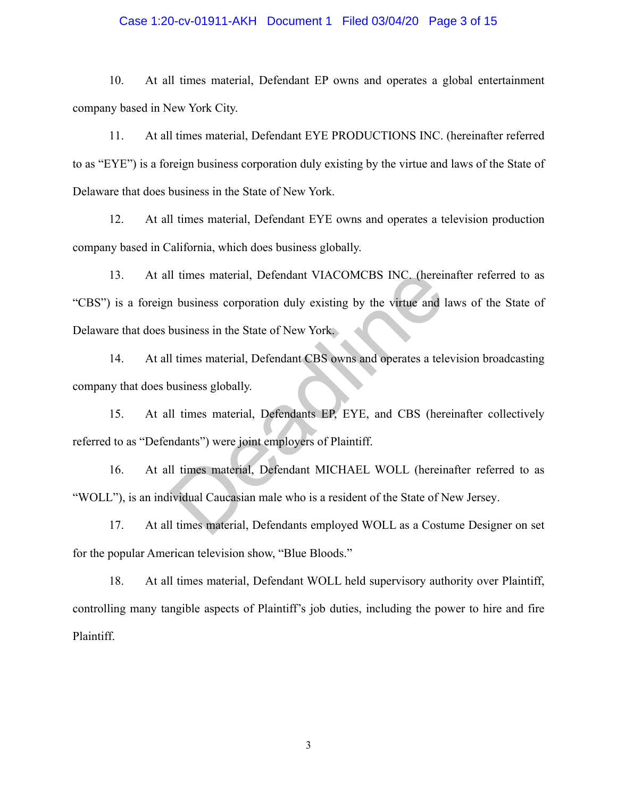### Case 1:20-cv-01911-AKH Document 1 Filed 03/04/20 Page 3 of 15

10. At all times material, Defendant EP owns and operates a global entertainment company based in New York City.

11. At all times material, Defendant EYE PRODUCTIONS INC. (hereinafter referred to as "EYE") is a foreign business corporation duly existing by the virtue and laws of the State of Delaware that does business in the State of New York.

12. At all times material, Defendant EYE owns and operates a television production company based in California, which does business globally.

13. At all times material, Defendant VIACOMCBS INC. (hereinafter referred to as "CBS") is a foreign business corporation duly existing by the virtue and laws of the State of Delaware that does business in the State of New York. Il times material, Defendant VIACOMCBS INC. (herein<br>
1 business corporation duly existing by the virtue and I<br>
business in the State of New York.<br>
1 times material, Defendant CBS owns and operates a tele<br>
usiness globally.

14. At all times material, Defendant CBS owns and operates a television broadcasting company that does business globally.

15. At all times material, Defendants EP, EYE, and CBS (hereinafter collectively referred to as "Defendants") were joint employers of Plaintiff.

16. At all times material, Defendant MICHAEL WOLL (hereinafter referred to as "WOLL"), is an individual Caucasian male who is a resident of the State of New Jersey.

17. At all times material, Defendants employed WOLL as a Costume Designer on set for the popular American television show, "Blue Bloods."

18. At all times material, Defendant WOLL held supervisory authority over Plaintiff, controlling many tangible aspects of Plaintiff's job duties, including the power to hire and fire Plaintiff.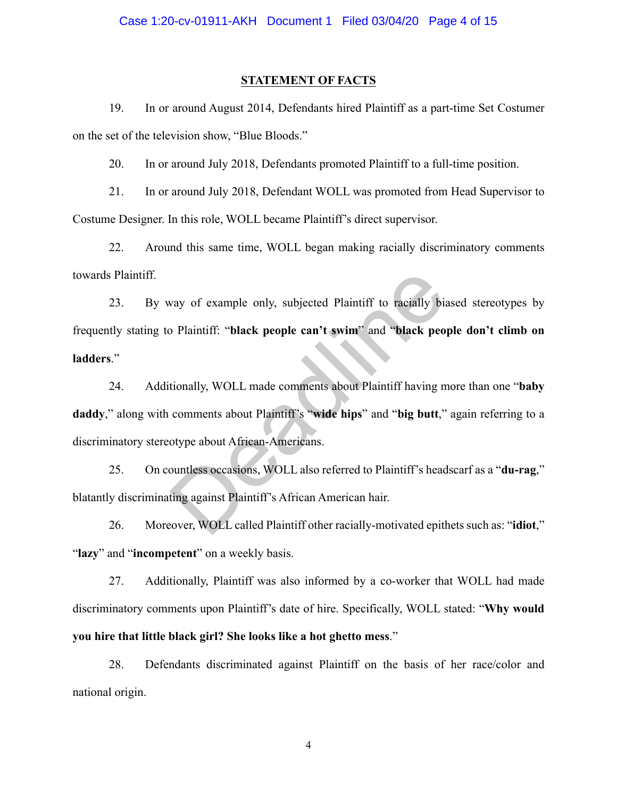#### **STATEMENT OF FACTS**

19. In or around August 2014, Defendants hired Plaintiff as a part-time Set Costumer on the set of the television show, "Blue Bloods."

20. In or around July 2018, Defendants promoted Plaintiff to a full-time position.

21. In or around July 2018, Defendant WOLL was promoted from Head Supervisor to Costume Designer. In this role, WOLL became Plaintiff's direct supervisor.

22. Around this same time, WOLL began making racially discriminatory comments towards Plaintiff.

23. By way of example only, subjected Plaintiff to racially biased stereotypes by frequently stating to Plaintiff: "**black people can't swim**" and "**black people don't climb on ladders**." way of example only, subjected Plaintiff to racially bia<br>
Dependence Plaintiff is "black people can't swim" and "black people<br>
tionally, WOLL made comments about Plaintiff having m<br>
comments about Plaintiff's "wide hips" a

24. Additionally, WOLL made comments about Plaintiff having more than one "**baby daddy**," along with comments about Plaintiff's "**wide hips**" and "**big butt**," again referring to a discriminatory stereotype about African-Americans.

25. On countless occasions, WOLL also referred to Plaintiff's headscarf as a "**du-rag**," blatantly discriminating against Plaintiff's African American hair.

26. Moreover, WOLL called Plaintiff other racially-motivated epithets such as: "**idiot**," "**lazy**" and "**incompetent**" on a weekly basis.

27. Additionally, Plaintiff was also informed by a co-worker that WOLL had made discriminatory comments upon Plaintiff's date of hire. Specifically, WOLL stated: "**Why would you hire that little black girl? She looks like a hot ghetto mess**."

28. Defendants discriminated against Plaintiff on the basis of her race/color and national origin.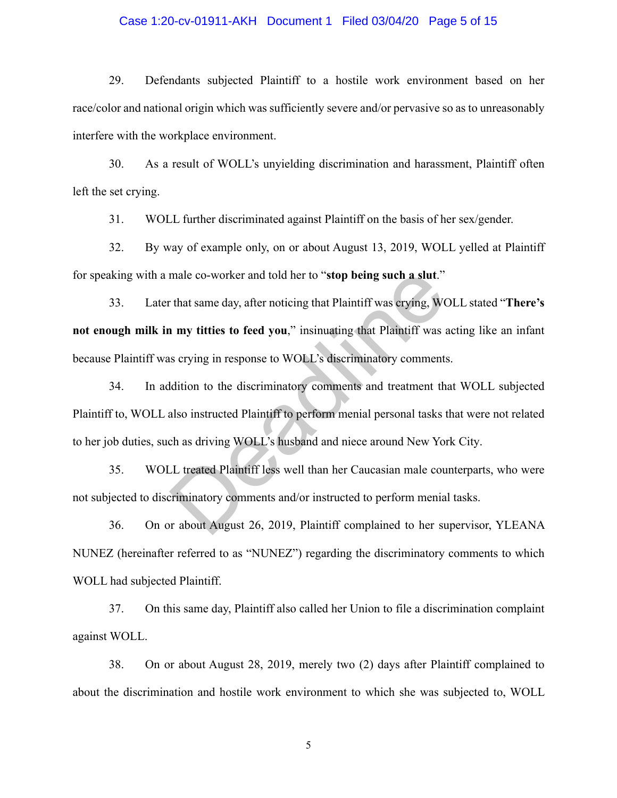### Case 1:20-cv-01911-AKH Document 1 Filed 03/04/20 Page 5 of 15

29. Defendants subjected Plaintiff to a hostile work environment based on her race/color and national origin which was sufficiently severe and/or pervasive so as to unreasonably interfere with the workplace environment.

30. As a result of WOLL's unyielding discrimination and harassment, Plaintiff often left the set crying.

31. WOLL further discriminated against Plaintiff on the basis of her sex/gender.

32. By way of example only, on or about August 13, 2019, WOLL yelled at Plaintiff for speaking with a male co-worker and told her to "**stop being such a slut**."

33. Later that same day, after noticing that Plaintiff was crying, WOLL stated "**There's not enough milk in my titties to feed you**," insinuating that Plaintiff was acting like an infant because Plaintiff was crying in response to WOLL's discriminatory comments. male co-worker and told her to "**stop being such a slut**."<br>
that same day, after noticing that Plaintiff was crying, W<br> **n my titties to feed you**," insinuating that Plaintiff was a<br>
serving in response to WOLL's discrimin

34. In addition to the discriminatory comments and treatment that WOLL subjected Plaintiff to, WOLL also instructed Plaintiff to perform menial personal tasks that were not related to her job duties, such as driving WOLL's husband and niece around New York City.

35. WOLL treated Plaintiff less well than her Caucasian male counterparts, who were not subjected to discriminatory comments and/or instructed to perform menial tasks.

36. On or about August 26, 2019, Plaintiff complained to her supervisor, YLEANA NUNEZ (hereinafter referred to as "NUNEZ") regarding the discriminatory comments to which WOLL had subjected Plaintiff.

37. On this same day, Plaintiff also called her Union to file a discrimination complaint against WOLL.

38. On or about August 28, 2019, merely two (2) days after Plaintiff complained to about the discrimination and hostile work environment to which she was subjected to, WOLL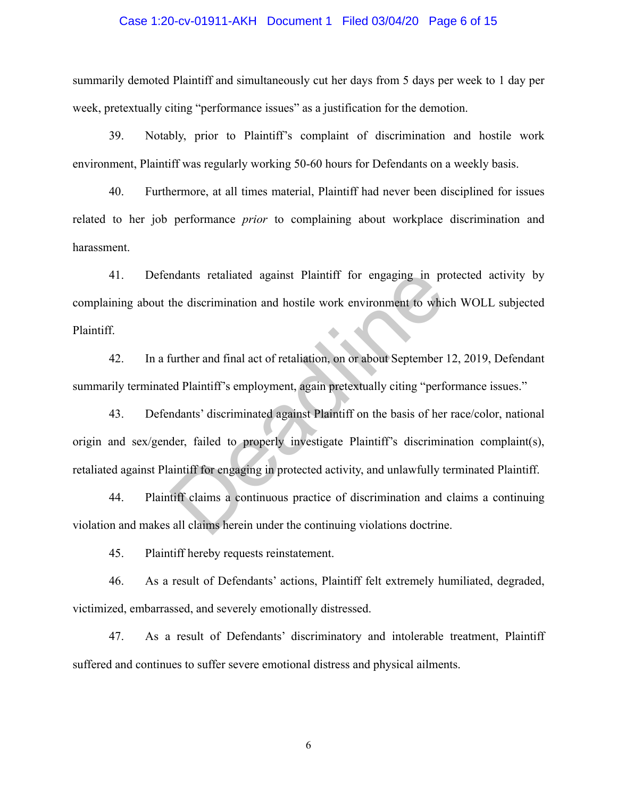### Case 1:20-cv-01911-AKH Document 1 Filed 03/04/20 Page 6 of 15

summarily demoted Plaintiff and simultaneously cut her days from 5 days per week to 1 day per week, pretextually citing "performance issues" as a justification for the demotion.

39. Notably, prior to Plaintiff's complaint of discrimination and hostile work environment, Plaintiff was regularly working 50-60 hours for Defendants on a weekly basis.

40. Furthermore, at all times material, Plaintiff had never been disciplined for issues related to her job performance *prior* to complaining about workplace discrimination and harassment.

41. Defendants retaliated against Plaintiff for engaging in protected activity by complaining about the discrimination and hostile work environment to which WOLL subjected Plaintiff.

42. In a further and final act of retaliation, on or about September 12, 2019, Defendant summarily terminated Plaintiff's employment, again pretextually citing "performance issues."

43. Defendants' discriminated against Plaintiff on the basis of her race/color, national origin and sex/gender, failed to properly investigate Plaintiff's discrimination complaint(s), retaliated against Plaintiff for engaging in protected activity, and unlawfully terminated Plaintiff. ndants retaliated against Plaintiff for engaging in pr<br>the discrimination and hostile work environment to which<br>further and final act of retaliation, on or about September<br>ed Plaintiff's employment, again pretextually citi

44. Plaintiff claims a continuous practice of discrimination and claims a continuing violation and makes all claims herein under the continuing violations doctrine.

45. Plaintiff hereby requests reinstatement.

46. As a result of Defendants' actions, Plaintiff felt extremely humiliated, degraded, victimized, embarrassed, and severely emotionally distressed.

47. As a result of Defendants' discriminatory and intolerable treatment, Plaintiff suffered and continues to suffer severe emotional distress and physical ailments.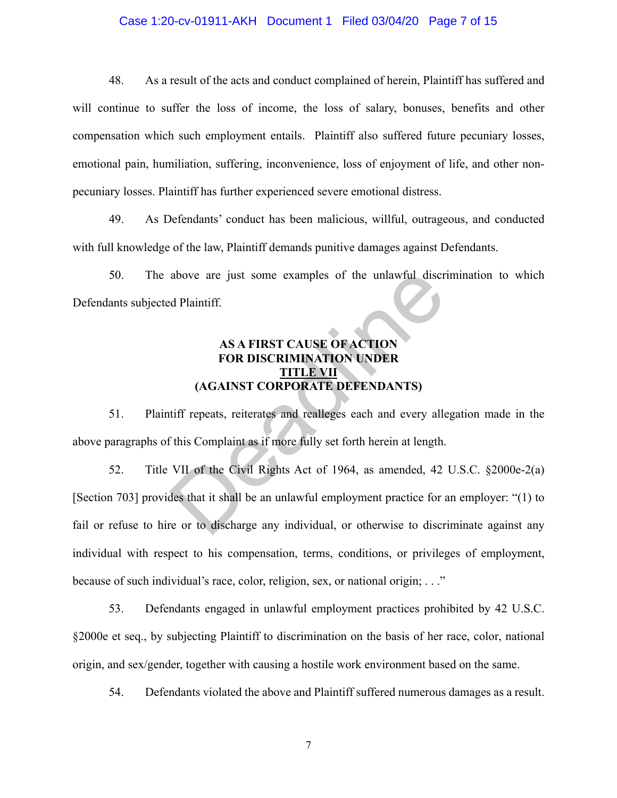## Case 1:20-cv-01911-AKH Document 1 Filed 03/04/20 Page 7 of 15

48. As a result of the acts and conduct complained of herein, Plaintiff has suffered and will continue to suffer the loss of income, the loss of salary, bonuses, benefits and other compensation which such employment entails. Plaintiff also suffered future pecuniary losses, emotional pain, humiliation, suffering, inconvenience, loss of enjoyment of life, and other nonpecuniary losses. Plaintiff has further experienced severe emotional distress.

49. As Defendants' conduct has been malicious, willful, outrageous, and conducted with full knowledge of the law, Plaintiff demands punitive damages against Defendants.

50. The above are just some examples of the unlawful discrimination to which Defendants subjected Plaintiff.

### **AS A FIRST CAUSE OF ACTION FOR DISCRIMINATION UNDER TITLE VII (AGAINST CORPORATE DEFENDANTS)**

51. Plaintiff repeats, reiterates and realleges each and every allegation made in the above paragraphs of this Complaint as if more fully set forth herein at length.

52. Title VII of the Civil Rights Act of 1964, as amended, 42 U.S.C. §2000e-2(a) [Section 703] provides that it shall be an unlawful employment practice for an employer: "(1) to fail or refuse to hire or to discharge any individual, or otherwise to discriminate against any individual with respect to his compensation, terms, conditions, or privileges of employment, because of such individual's race, color, religion, sex, or national origin; . . ." above are just some examples of the unlawful discripted Plaintiff.<br>
AS A FIRST CAUSE OF ACTION<br>
FOR DISCRIMINATION UNDER<br>
(AGAINST CORPORATE DEFENDANTS)<br>
tiff repeats, reiterates and realleges each and every alle<br>
this Com

53. Defendants engaged in unlawful employment practices prohibited by 42 U.S.C. §2000e et seq., by subjecting Plaintiff to discrimination on the basis of her race, color, national origin, and sex/gender, together with causing a hostile work environment based on the same.

54. Defendants violated the above and Plaintiff suffered numerous damages as a result.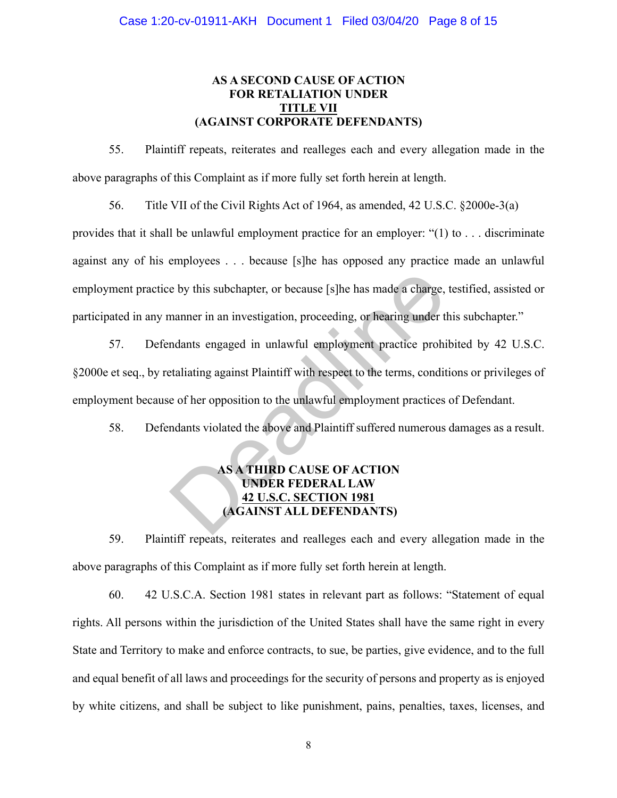### **AS A SECOND CAUSE OF ACTION FOR RETALIATION UNDER TITLE VII (AGAINST CORPORATE DEFENDANTS)**

55. Plaintiff repeats, reiterates and realleges each and every allegation made in the above paragraphs of this Complaint as if more fully set forth herein at length.

56. Title VII of the Civil Rights Act of 1964, as amended, 42 U.S.C. §2000e-3(a)

provides that it shall be unlawful employment practice for an employer: "(1) to . . . discriminate against any of his employees . . . because [s]he has opposed any practice made an unlawful employment practice by this subchapter, or because [s]he has made a charge, testified, assisted or participated in any manner in an investigation, proceeding, or hearing under this subchapter."

57. Defendants engaged in unlawful employment practice prohibited by 42 U.S.C. §2000e et seq., by retaliating against Plaintiff with respect to the terms, conditions or privileges of employment because of her opposition to the unlawful employment practices of Defendant. e by this subchapter, or because [s]he has made a charge,<br>
manner in an investigation, proceeding, or hearing under the<br>
manner in an investigation, proceeding, or hearing under the<br>
manner in an investigation, proceeding,

58. Defendants violated the above and Plaintiff suffered numerous damages as a result.

## **AS A THIRD CAUSE OF ACTION UNDER FEDERAL LAW 42 U.S.C. SECTION 1981 (AGAINST ALL DEFENDANTS)**

59. Plaintiff repeats, reiterates and realleges each and every allegation made in the above paragraphs of this Complaint as if more fully set forth herein at length.

60. 42 U.S.C.A. Section 1981 states in relevant part as follows: "Statement of equal rights. All persons within the jurisdiction of the United States shall have the same right in every State and Territory to make and enforce contracts, to sue, be parties, give evidence, and to the full and equal benefit of all laws and proceedings for the security of persons and property as is enjoyed by white citizens, and shall be subject to like punishment, pains, penalties, taxes, licenses, and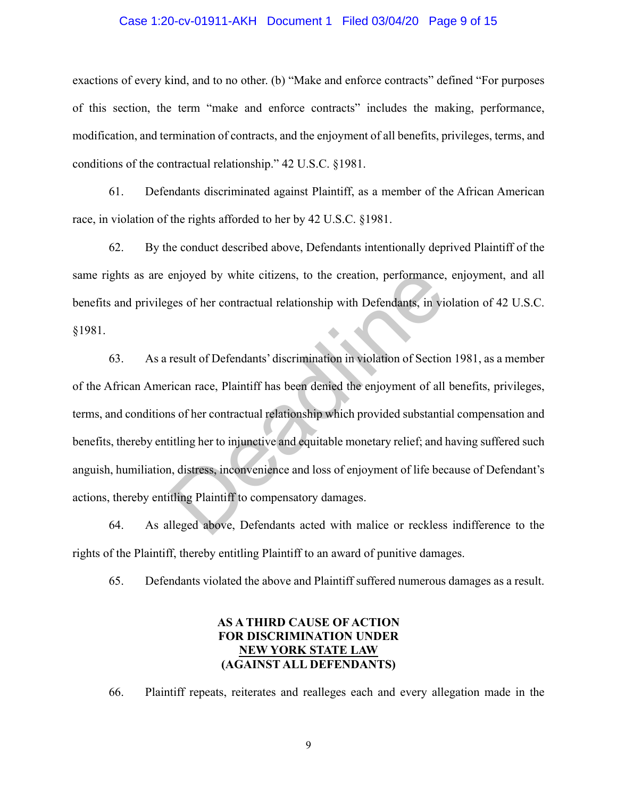### Case 1:20-cv-01911-AKH Document 1 Filed 03/04/20 Page 9 of 15

exactions of every kind, and to no other. (b) "Make and enforce contracts" defined "For purposes of this section, the term "make and enforce contracts" includes the making, performance, modification, and termination of contracts, and the enjoyment of all benefits, privileges, terms, and conditions of the contractual relationship." 42 U.S.C. §1981.

61. Defendants discriminated against Plaintiff, as a member of the African American race, in violation of the rights afforded to her by 42 U.S.C. §1981.

62. By the conduct described above, Defendants intentionally deprived Plaintiff of the same rights as are enjoyed by white citizens, to the creation, performance, enjoyment, and all benefits and privileges of her contractual relationship with Defendants, in violation of 42 U.S.C. §1981.

63. As a result of Defendants' discrimination in violation of Section 1981, as a member of the African American race, Plaintiff has been denied the enjoyment of all benefits, privileges, terms, and conditions of her contractual relationship which provided substantial compensation and benefits, thereby entitling her to injunctive and equitable monetary relief; and having suffered such anguish, humiliation, distress, inconvenience and loss of enjoyment of life because of Defendant's actions, thereby entitling Plaintiff to compensatory damages. enjoyed by white citizens, to the creation, performance, ees of her contractual relationship with Defendants, in violentless of her contractual relationship with Defendants, in violentless result of Defendants' discriminat

64. As alleged above, Defendants acted with malice or reckless indifference to the rights of the Plaintiff, thereby entitling Plaintiff to an award of punitive damages.

65. Defendants violated the above and Plaintiff suffered numerous damages as a result.

## **AS A THIRD CAUSE OF ACTION FOR DISCRIMINATION UNDER NEW YORK STATE LAW (AGAINST ALL DEFENDANTS)**

66. Plaintiff repeats, reiterates and realleges each and every allegation made in the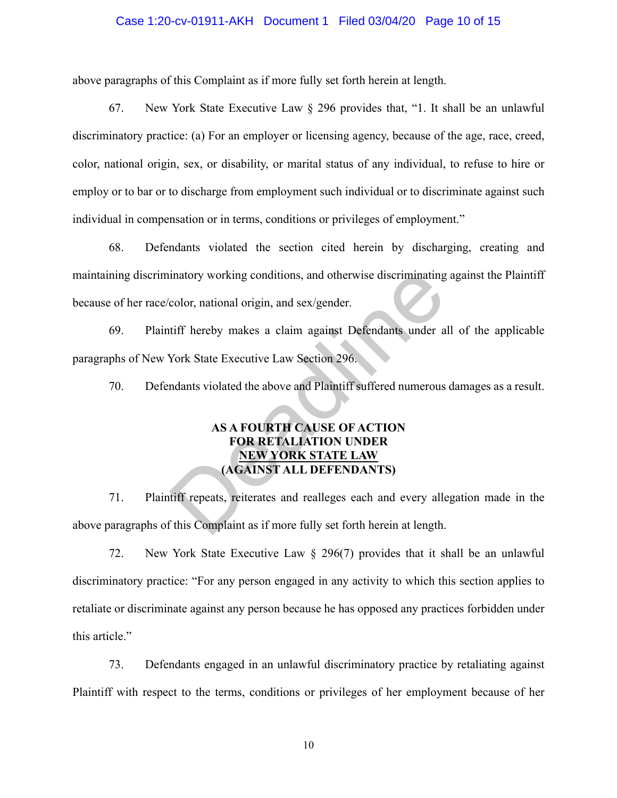### Case 1:20-cv-01911-AKH Document 1 Filed 03/04/20 Page 10 of 15

above paragraphs of this Complaint as if more fully set forth herein at length.

67. New York State Executive Law § 296 provides that, "1. It shall be an unlawful discriminatory practice: (a) For an employer or licensing agency, because of the age, race, creed, color, national origin, sex, or disability, or marital status of any individual, to refuse to hire or employ or to bar or to discharge from employment such individual or to discriminate against such individual in compensation or in terms, conditions or privileges of employment."

68. Defendants violated the section cited herein by discharging, creating and maintaining discriminatory working conditions, and otherwise discriminating against the Plaintiff because of her race/color, national origin, and sex/gender. inatory working conditions, and otherwise discriminating<br>color, national origin, and sex/gender.<br>tiff hereby makes a claim against Defendants under a<br>York State Executive Law Section 296.<br>ndants violated the above and Plai

69. Plaintiff hereby makes a claim against Defendants under all of the applicable paragraphs of New York State Executive Law Section 296.

70. Defendants violated the above and Plaintiff suffered numerous damages as a result.

## **AS A FOURTH CAUSE OF ACTION FOR RETALIATION UNDER NEW YORK STATE LAW (AGAINST ALL DEFENDANTS)**

71. Plaintiff repeats, reiterates and realleges each and every allegation made in the above paragraphs of this Complaint as if more fully set forth herein at length.

72. New York State Executive Law § 296(7) provides that it shall be an unlawful discriminatory practice: "For any person engaged in any activity to which this section applies to retaliate or discriminate against any person because he has opposed any practices forbidden under this article."

73. Defendants engaged in an unlawful discriminatory practice by retaliating against Plaintiff with respect to the terms, conditions or privileges of her employment because of her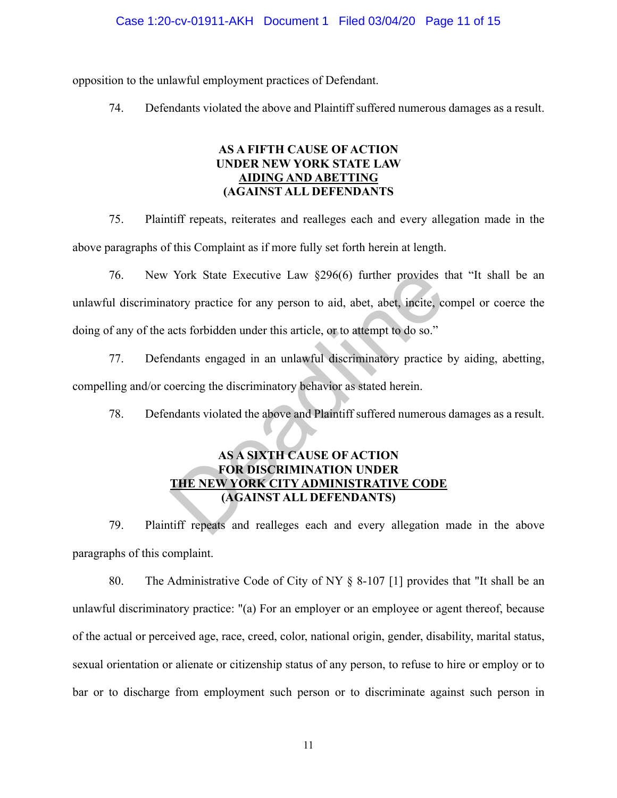### Case 1:20-cv-01911-AKH Document 1 Filed 03/04/20 Page 11 of 15

opposition to the unlawful employment practices of Defendant.

74. Defendants violated the above and Plaintiff suffered numerous damages as a result.

### **AS A FIFTH CAUSE OF ACTION UNDER NEW YORK STATE LAW AIDING AND ABETTING (AGAINST ALL DEFENDANTS**

75. Plaintiff repeats, reiterates and realleges each and every allegation made in the above paragraphs of this Complaint as if more fully set forth herein at length.

- 76. New York State Executive Law §296(6) further provides that "It shall be an unlawful discriminatory practice for any person to aid, abet, abet, incite, compel or coerce the doing of any of the acts forbidden under this article, or to attempt to do so." York State Executive Law §296(6) further provides to<br>tory practice for any person to aid, abet, abet, incite, co<br>acts forbidden under this article, or to attempt to do so."<br>ndants engaged in an unlawful discriminatory prac
- 77. Defendants engaged in an unlawful discriminatory practice by aiding, abetting, compelling and/or coercing the discriminatory behavior as stated herein.

78. Defendants violated the above and Plaintiff suffered numerous damages as a result.

## **AS A SIXTH CAUSE OF ACTION FOR DISCRIMINATION UNDER THE NEW YORK CITY ADMINISTRATIVE CODE (AGAINST ALL DEFENDANTS)**

79. Plaintiff repeats and realleges each and every allegation made in the above paragraphs of this complaint.

80. The Administrative Code of City of NY § 8-107 [1] provides that "It shall be an unlawful discriminatory practice: "(a) For an employer or an employee or agent thereof, because of the actual or perceived age, race, creed, color, national origin, gender, disability, marital status, sexual orientation or alienate or citizenship status of any person, to refuse to hire or employ or to bar or to discharge from employment such person or to discriminate against such person in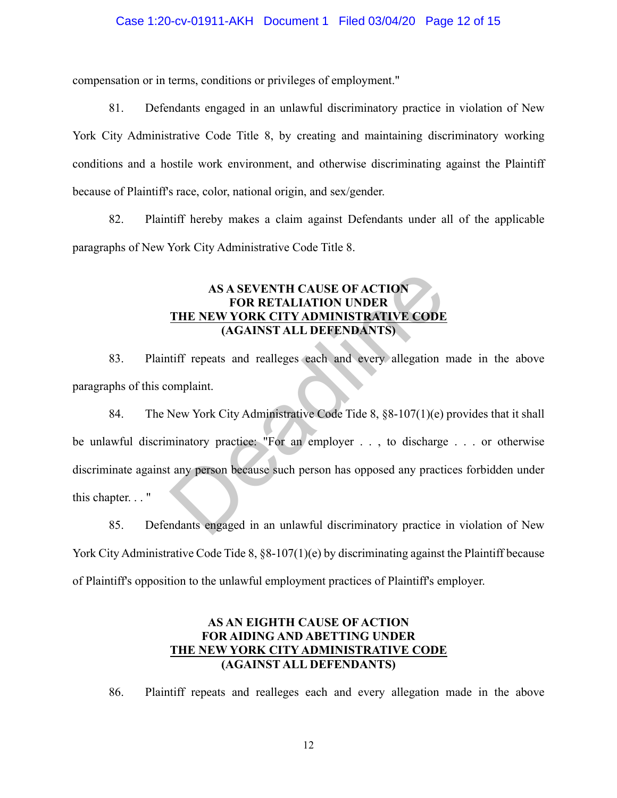### Case 1:20-cv-01911-AKH Document 1 Filed 03/04/20 Page 12 of 15

compensation or in terms, conditions or privileges of employment."

81. Defendants engaged in an unlawful discriminatory practice in violation of New York City Administrative Code Title 8, by creating and maintaining discriminatory working conditions and a hostile work environment, and otherwise discriminating against the Plaintiff because of Plaintiff's race, color, national origin, and sex/gender.

82. Plaintiff hereby makes a claim against Defendants under all of the applicable paragraphs of New York City Administrative Code Title 8.

## **AS A SEVENTH CAUSE OF ACTION FOR RETALIATION UNDER THE NEW YORK CITY ADMINISTRATIVE CODE (AGAINST ALL DEFENDANTS)**

83. Plaintiff repeats and realleges each and every allegation made in the above paragraphs of this complaint.

84. The New York City Administrative Code Tide 8, §8-107(1)(e) provides that it shall be unlawful discriminatory practice: "For an employer . . , to discharge . . . or otherwise discriminate against any person because such person has opposed any practices forbidden under this chapter. . . " AS A SEVENTH CAUSE OF ACTION<br>
FOR RETALIATION UNDER<br>
THE NEW YORK CITY ADMINISTRATIVE CODE<br>
(AGAINST ALL DEFENDANTS)<br>
tiff repeats and realleges each and every allegation<br>
omplaint.<br>
New York City Administrative Code Tide

85. Defendants engaged in an unlawful discriminatory practice in violation of New York City Administrative Code Tide 8, §8-107(1)(e) by discriminating against the Plaintiff because of Plaintiff's opposition to the unlawful employment practices of Plaintiff's employer.

## **AS AN EIGHTH CAUSE OF ACTION FOR AIDING AND ABETTING UNDER THE NEW YORK CITY ADMINISTRATIVE CODE (AGAINST ALL DEFENDANTS)**

86. Plaintiff repeats and realleges each and every allegation made in the above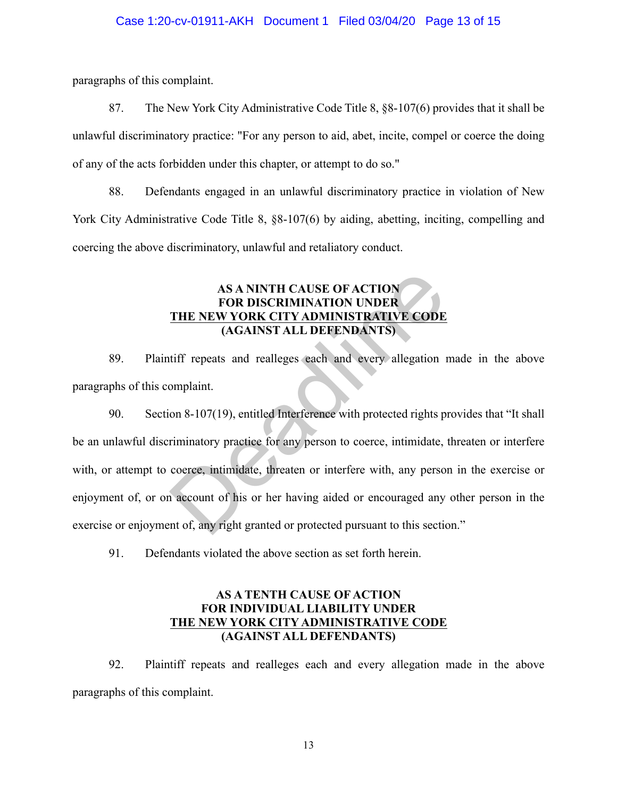paragraphs of this complaint.

87. The New York City Administrative Code Title 8, §8-107(6) provides that it shall be unlawful discriminatory practice: "For any person to aid, abet, incite, compel or coerce the doing of any of the acts forbidden under this chapter, or attempt to do so."

88. Defendants engaged in an unlawful discriminatory practice in violation of New York City Administrative Code Title 8, §8-107(6) by aiding, abetting, inciting, compelling and coercing the above discriminatory, unlawful and retaliatory conduct.

## **AS A NINTH CAUSE OF ACTION FOR DISCRIMINATION UNDER THE NEW YORK CITY ADMINISTRATIVE CODE (AGAINST ALL DEFENDANTS)**

89. Plaintiff repeats and realleges each and every allegation made in the above paragraphs of this complaint.

90. Section 8-107(19), entitled Interference with protected rights provides that "It shall be an unlawful discriminatory practice for any person to coerce, intimidate, threaten or interfere with, or attempt to coerce, intimidate, threaten or interfere with, any person in the exercise or enjoyment of, or on account of his or her having aided or encouraged any other person in the exercise or enjoyment of, any right granted or protected pursuant to this section." AS A NINTH CAUSE OF ACTION<br>
FOR DISCRIMINATION UNDER<br>
THE NEW YORK CITY ADMINISTRATIVE CODE<br>
(AGAINST ALL DEFENDANTS)<br>
tiff repeats and realleges each and every allegation<br>
omplaint.<br>
on 8-107(19), entitled Interference wi

91. Defendants violated the above section as set forth herein.

### **AS A TENTH CAUSE OF ACTION FOR INDIVIDUAL LIABILITY UNDER THE NEW YORK CITY ADMINISTRATIVE CODE (AGAINST ALL DEFENDANTS)**

92. Plaintiff repeats and realleges each and every allegation made in the above paragraphs of this complaint.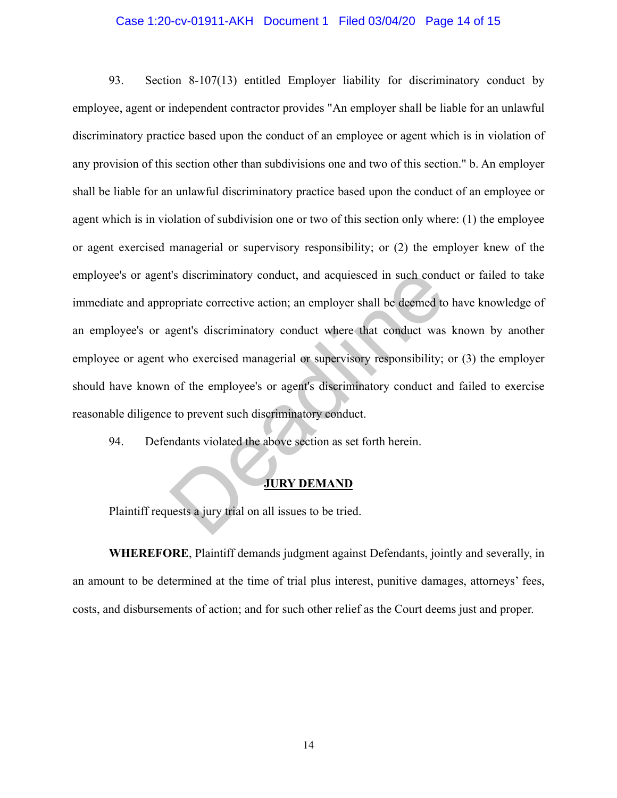#### Case 1:20-cv-01911-AKH Document 1 Filed 03/04/20 Page 14 of 15

93. Section 8-107(13) entitled Employer liability for discriminatory conduct by employee, agent or independent contractor provides "An employer shall be liable for an unlawful discriminatory practice based upon the conduct of an employee or agent which is in violation of any provision of this section other than subdivisions one and two of this section." b. An employer shall be liable for an unlawful discriminatory practice based upon the conduct of an employee or agent which is in violation of subdivision one or two of this section only where: (1) the employee or agent exercised managerial or supervisory responsibility; or (2) the employer knew of the employee's or agent's discriminatory conduct, and acquiesced in such conduct or failed to take immediate and appropriate corrective action; an employer shall be deemed to have knowledge of an employee's or agent's discriminatory conduct where that conduct was known by another employee or agent who exercised managerial or supervisory responsibility; or (3) the employer should have known of the employee's or agent's discriminatory conduct and failed to exercise reasonable diligence to prevent such discriminatory conduct. I's discriminatory conduct, and acquiesced in such conduction<br>opriate corrective action; an employer shall be deemed to<br>gent's discriminatory conduct where that conduct was<br>who exercised managerial or supervisory responsib

94. Defendants violated the above section as set forth herein.

### **JURY DEMAND**

Plaintiff requests a jury trial on all issues to be tried.

**WHEREFORE**, Plaintiff demands judgment against Defendants, jointly and severally, in an amount to be determined at the time of trial plus interest, punitive damages, attorneys' fees, costs, and disbursements of action; and for such other relief as the Court deems just and proper.